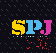

HONORING 2009'S BEST IN NEWSPAPERS, ALT-WEEKLIES, MAGAZINES, ONLINE, TELEVISION AND RADIO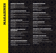**GENER**<br>
1ST PLACI<br>
2ND PLAC<br>
3RD PLAC<br>
Business<br> **MAGA2**<br>
IST PLACI<br>
IST PLACI<br> *Multoom*<br>
2ND PLAC<br> *Bushess*<br>
2ND PLAC<br> *Bushere*<br>
3RD PLAC<br> *SRD PLAC*<br>
3RD PLAC<br> *SRD PLAC*<br> *SRD PLAC*<br> *SRD PLAC*<br> *SRD PLAC*<br> *SRD PLA* **LEXCELLEN**<br>
Staff, Montana Quarte<br>
Staff, Seattle Metropo<br>
: Leslie Helm, Chris W<br>
I**NE DEPARTM**<br>
James Ross Gardner,<br>
: Kathryn Robinson, S<br>
: Staff, Alaska Airline<br>
REPORTING<br>
Kathryn Robinson, Staff,<br>
Eric Lucas, Alask E<br>
Iy<br>
tan<br>
ttens. Seattle<br> **Extra Seattle Metropolitan<br>
Magazine<br>
ttle Metropolitan<br>
Magazine<br>
The Magazine<br>
The Magazine<br>
The Magazine<br>
The Magazine<br>
Magazine<br>
tan<br>
Magazine<br>
attle Metropolitan<br>
Magazine<br>
attle Metropoli 1ST PLACE:** Staff, Montana Quarterly **2ND PLACE:**Staff, Seattle Metropolitan **3RD PLACE:** Leslie Helm, Chris Winters, Seattle **Business** 

### Magazine Departments

**1st PLACE:** James Ross Gardner, Seattle Metropolitan *Mudroom* 

**2ND PLACE:** Kathryn Robinson, Seattle Metropolitan *Back Fence* 

**3RD PLACE:** Staff, Alaska Airlines Magazine *Journal*

### Travel Reporting

**1st PLACE:** Kathryn Robinson, Seattle Metropolitan *You Know, For Kids*

**2ND PLACE:** Eric Lucas, Alaska Airlines Magazine *Anchorage Bound*

**3RD PLACE:** Nick Jans, Alaska Airlines Magazine *Island Adventures*

# Leisure and Lifestyle Reporting

**1st PLACE:** Jessica Voelker, James Ross Gardner, Christopher Werner, Metropolitan *The Smart Drinker's Guide to Seattle*

**2ND PLACE:** Staff, Seattle Metropolitan *Sweet Science*

**3RD PLACE:** Staff, Metropolitan *13 Burgers That Will Change Your Life*

### Arts and Entertainment

**1st PLACE:** Jim Gullo, Horizon Air Magazine *The Puppet Master*

**2ND PLACE:** Matthew Halverson, Seattle Metropolitan *The Movie Seattle Saved*

# Humorous writing

**1st PLACE:** Dana Neuts *The Other Woman*

**2ND PLACE:** Chris Winters, Seattle Business *Final Analysis: The MBA Final Exam (Revised)*

**3RD PLACE:** David Volk *Journey: No Dog Left Behind* 

# Business Reporting

**1st PLACE:** Bryan Corliss, Seattle Business *Boeing Boeing... Gone*

**2ND PLACE:** Cynthia Nims, Horizon Air Magazine *Our Cup of Tea*

**3RD PLACE:** Eric Scigliano, Seattle Metropolitan *Indecent Appraisal*

### Sports Reporting

**HUMOROUS**<br>
1ST PLACE: Dans<br>
The Other Woman<br>
2ND PLACE: Chr<br>
Final Analysis: The M<br>
3RD PLACE: Dav<br>
Journey: No Dog Left I<br> **BUSINESS I**<br> **BUSINESS I**<br> **BUSINESS I**<br> **BUSINESS I**<br> **BUSINESS I**<br> **BUSINESS I**<br> **BUSINESS I**<br> WRITING<br>
WRITING<br>
Neuts<br>
Minters, Seattle Busin<br>
A Final Exam (Revised)<br>
Volk<br>
ind<br>
CORTING<br>
Corliss, Seattle Busine<br>
ia Nims, Horizon Air<br>
icigliano, Seattle Metr<br>
Corliss, Seattle Metr<br>
Munn<br>
Surreillance Cameras<br>
ND ESS **1st PLACE:** Chuck Luce, Arches *Ahead of the game* **2ND PLACE:** Josh Whitling, South Sound Magazine *Ladies on Skates*

# Editorial and Commentary

**1st PLACE:** Marianne Scholl, Seattle Woman Magazine *Even After All These Years*

**2ND PLACE:** Heija Nunn *Voice: On Medina's New Surveillance Cameras*

# Columns and Essays

**1ST PLACE:** Knute Berger, Seattle Magazine *Six Things You Can't Say in Seattle*

**2ND PLACE:** Knute Berger, Seattle Magazine *Seattle Mayor: a Dead-end Job*

ss<br>ss<br>digazine<br>ditan<br>Magazine<br>an Magazine<br>eldi, Horizon<br>eldi, Horizon **3RD PLACE:** Nancy O'Connell, Leo Garibaldi, Horizon Air Magazine *Dude, Mom-Let's Roll*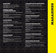### Headlines

**HEADLIN**<br>
1ST PLACE:<br>
2ND PLACE:<br>
2ND PLACE:<br>
3RD PLACE:<br> **GENERA<br>
FEATUR**<br>
1ST PLACE:<br> *Heist*<br>
2ND PLACE:<br> *House SRD PLACE:*<br>
5Days in Seattle<br> **COVER D**<br>
1ST PLACE:<br>
2ND PLACE:<br>
Metropolitan<br>
Adul Education<br>
2ND PLACE **ES**<br> **ES**<br>
aff, Seattle Woman M<br>
taff, Alaska Airlines M<br>
taff, 425 Magazine<br> **REPORTING**<br> **REPORTING**<br>
mes Ross Gardner, Seattle<br>
hut Shook the World<br> **CSIGN**<br>
taff, South Sound Mag<br>
senjamen Purvis, Seattl<br> **DESIGN**<br>
el **1st PLACE:** Staff, Seattle Woman Magazine **2ND PLACE:** Staff, Alaska Airlines Magazine **3RD PLACE:** Staff, 425 Magazine

# General News/ Feature Reporting

**1st PLACE:** James Ross Gardner, Seattle Metropolitan *Heist* 

**2ND PLACE:** Eric Lucas, Alaska Airlines Magazine *World Heritage Sites*

**3RD PLACE:** Eric Scigliano, Seattle Metropolitan *5 Days in Seattle That Shook the World*

### Cover Design

**1ST PLACE:** Staff, South Sound Magazine **2ND PLACE:** Benjamen Purvis, Seattle Metropolitan

# Feature Design

tazine<br>Azine<br>Ale Metropolitan<br>Ale Metropolitan<br>Azine<br>Ale Metropolitan<br>Ale Metropolitan<br>Ale Metropolitan<br>Ale Metropolitan<br>Ale Metropolitan<br>Ale Metropolitan<br>Ale Metropolitan<br>Ale Metropolitan<br>Ale Metropolitan<br>Ale Metropolitan **1st PLACE:** Melissa Robinson, Benjamen Purvis Seattle Metropolitan *Adult Education 101*

**2ND PLACE:** Benjamen Purvis, Seattle Metropolitan *Meltdown Survival Handbook*

**3RD PLACE:** Melissa Robinson, Seattle Metropolitan *Sweet Science*

# Spread Design

**1st PLACE:** Benjamen Purvis, Seattle Metropolitan *Heist*

**2ND PLACE:** Benjamen Purvis, Seattle Metropolitan *5 Days in Seattle That Shook the World*

**3RD PLACE:** Melissa Robinson, Seattle Metropolitan *Premier Crew*

# Cartoons and Illustrations

**1st PLACE:** Jon Marmor, Eric McHenry, Sue Brockmann, Paul Rucker, Ken Shafer, Columns Magazine *Sneaker Swim*

**2ND PLACE:** Dennis Wunsch, Scotsman Guide (comm.) *Let's Get Physical*

**THIRD PLACE:** Dennis Wunsch, Scotsman Guide (comm.) *When Green Isn't What It Seems*

# Sports Photography

**CARTOONS A**<br> **ST PLACE:** Jon Ma<br>
Brockmann, Paul Ru<br>
Brockmann, Paul Ru<br>
Magazine<br> **Sneaker Swim**<br> **2ND PLACE:** Dennis<br> **CHECE:** Dennis Wunsch, Sco<br>
When Green Isn't What I<br> **SPORTS PHO**<br> **IST PLACE:** Horizo<br>
Boise Day an **ND ILLUSTRA:**<br>Mor, Eric McHenry, Ster, Ken Shafer, Colur<br>Wunsch, Scotsman Guide (comm.)<br>Feems<br>**COGRAPHY**<br>Air Magazine<br>uck/Getty Images, Ala<br>**DTOGRAPHY**<br>atley, Seattle Metropol<br>Borden, Seattle Metropol<br>Rorden, Seattle Metr **1st PLACE:** Horizon Air Magazine *Boise Day and Night*  **2ND PLACE:** Tom Hauck/Getty Images, Alaska Airlines Magazine *Pac-10 Primer*

# Feature Photography

**1ST PLACE:** John Keatley, Seattle Metropolitan *Atmospheric Disturbances*

**2ND PLACE:** Lindsay Borden, Seattle Metropolitan *10 Best Restaurants 2009*

**3RD PLACE:** Angie Norwood Browne, Seattle Metropolitan *Sweet Science*

# Portrait Photography

**1st PLACE:** Jose Mandojana, Seattle Metropolitan *Worried Man: Paul Giamatti*

**2ND PLACE:** John Keatley, Seattle Metropolitan *Annie Leibovitz* 

# Photo Essay or Pages

IONS<br>
\* second (comm.)<br>
de (comm.)<br>
an<br>
an<br>
olitan<br>
an<br>
an, Emily<br>
y Qatar<br>
Magazine<br>
Magazine **1st PLACE:** Kristin Giordano, Bond Huberman, Emily Busey, City Arts *Far From Home: A Tacoma Photographer in Modern-Day Qatar*

**2ND PLACE:** Nancy O'Connell, Horizon Air Magazine *Showcase 2009*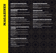# Portfolio Photography

**PORTF (15T PLACE)**<br>
2ND PLAC<br>
2ND PLAC<br>
2ND PLAC<br>
Magazine<br> **GOVER**<br> **REPOR**<br>
1ST PLAC<br>
Fine Call Me<br>
2ND PLAC<br>
2ND PLAC<br>
2ND PLAC<br>
Learning Hou<br>
2ND PLAC<br>
Learning Hou<br>
2ND PLAC<br>
Learning Hou<br>
2ND PLAC<br>
Home Tweet E<br>
3RD **LIO PHOTOGE**<br>
John Keatley, Seattle<br>
: Ingrid Pape-Sheldon<br>
: Ingrid Pape-Sheldon<br> **ING**<br>
Matthew Halverson, Sictator<br>
: Matthew Halverson, ay<br> **IER REPORTII**<br>
Jane Hodges, Horizon<br>
Fund Your Graduate-Sche<br>
: Matthew Halv **APHY**<br>etropolitan<br>ieattle Woman<br>attle Metropolitan<br>attle Metropolitan<br>cattle Metropolitan<br>attle Metropolitan<br>attle Metropolitan<br>Attropolitan<br>detropolitan<br>feattle Woman<br>**Attropolitan**<br>attle Woman<br>**TING**<br>detropolitan<br>Air Ma **1ST PLACE:** John Keatley, Seattle Metropolitan **2ND PLACE:** Ingrid Pape-Sheldon, Seattle Woman Magazine

# Government and Politics Reporting

**1ST PLACE:** Matthew Halverson, Seattle Metropolitan *Fine. Call Me a Dictator*

**2ND PLACE:** Matthew Halverson, Seattle Metropolitan *He Did It His Way*

# Consumer Reporting

**1st PLACE:** Jane Hodges, Horizon Air Magazine *Learning How to Fund Your Graduate-School Education*

**2ND PLACE:** Matthew Halverson, Seattle Metropolitan *Home Tweet Home*

**3RD PLACE:** Matthew Halverson, Seattle Metropolitan *Buy? Sell? Or Hold on for Dear Life?*

# Science and Environmental Affairs

**1st PLACE:** Eric Scigliano, Seattle Metropolitan *Trap. Neuter. Return.*

**2ND PLACE:** David Laskin, Seattle Metropolitan *Atmospheric Disturbances*

**3RD PLACE:** Tara Hayes Constant, Seattle Woman Magazine *UW's Nurse Scientists*

# Social Issues Reporting

**1st PLACE:** Eric Scigliano, Seattle Metropolitan *Gangland*

**2ND PLACE:** Scott Driscoll, Horizon Air Magazine *Nature and Nurture* 

#### **THIRD PLACE:** Lia Steakley Dicker, Seattle Metropolitan *The Tribe That Would Not Die*

# Minorities Reporting

**1st PLACE:** Eric Scigliano, Seattle Metropolitan *Coming to America* 

**2ND PLACE:** Lia Steakley, Seattle Metropolitan *The Tribe That Would Not Die*

# Personalities

**1ST PLACE:** Mike Ullmann, Seattle Business *The Man Who Saved Washington Wine*

**2ND PLACE:** Tera Schreiber, Seattle Woman Magazine *Decorating Her: Women Tattoo Artists in Seattle*

**3RD PLACE:** Karen Rathe, Seattle Woman Magazine *Eyes on the Prize*

# Personal Service Reporting

**1st PLACE:** Wenda Reed, Seattle Woman Magazine *IBS Series*

**MINORITIE**<br>
1ST PLACE: Eric<br>
Coming to America<br>
2ND PLACE: Lia<br>
The Tribe That Would<br> **PERSONAL**<br>
1ST PLACE: Mike<br>
The Man Who Savad V<br>
2ND PLACE: Terr<br>
Decorating Her: Wome<br>
3RD PLACE: Next<br>
IST PLACE: Wen<br>
ISS Series<br>
2 **ERPORTING**<br>
erigliano, Seattle Metro<br>
eakley, Seattle Metro<br>
of Die<br>
Jllmann, Seattle Busin<br>
schreiber, Seattle Wom<br>
Tattoo Artists in Seattle<br>
Nache, Seattle Woma<br> **ERVICE REP(**<br>
Reed, Seattle Woma<br>
rew Halverson, Laura blitan<br>SS<br>SS<br>In Magazine<br>Magazine<br>Magazine<br>Ssidy, Jessica<br>Magazine **2ND PLACE:** Matthew Halverson, Laura Cassidy, Jessica Voelker, Seattle Metropolitan *Meltdown Survival Handbook*

**3RD PLACE:** Wenda Reed, Seattle Woman Magazine *Weighing in on Genetic Testing*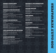**GENERA**<br>
1ST PLACE:<br>
2ND PLACE:<br>
2ND PLACE:<br>
3RD PLACE:<br>
Progress<br>
Three powerful w<br>
2ND PLACE:<br>
A fast for peace, n<br>
3RD PLACE:<br>
Road warrior<br> **LIFESTY**<br>
1ST PLACE:<br>
Progress<br>
The church in the<br>
2ND PLACE:<br>
Students enjo **. EXCELLENCI**<br>
taff, Issaquah Press<br>
Staff, Puget Sound Bus<br>
Staff, Sammamish Rev<br> **LITIES REPOI**<br>
erry McGuire, Catholic<br>
ds: T*forgive you*<br>
losette Royale, Real Cl<br>
cosette Royale, Real Cl<br>
auted in number and deed<br>
au ress Journal<br>
Warthwest<br>
Northwest<br>
nge Newspapers<br>
prise Newspapers<br>
prise Newspapers<br>
The Press<br>
Jeekly<br> **CRITICISM**<br>
ge Newspapers<br>
ess<br>
Cazette<br>
Lisland Reporter<br>
reskend<br>
ner<br>
mer **1st PLACE:** Staff, Issaquah Press **2ND PLACE:** Staff, Puget Sound Business Journal **3RD PLACE:** Staff, Sammamish Review

# Personalities Reporting

**1st PLACE:** Terry McGuire, Catholic Northwest Progress *Three powerful words: 'I forgive you'*

**2ND PLACE:** Rosette Royale, Real Change Newspapers *A fast for peace, recounted in number and deed*

**3RD PLACE:** Lauren Thompson, Enterprise Newspapers *Road warrior*

### Lifestyles Reporting

**1st PLACE:** Kevin Birnbaum, Catholic Northwest Progress *The church in the Information Age*

**2ND PLACE:** Lorie Palmer, Idaho County Free Press *Students enjoy farm tour*

**3RD PLACE:** P: Jill Russell, Tacoma Weekly *"Muralist brings family's 'Green Monster' to life"*

### Arts Reporting and Criticism

**1st PLACE:** Cydney Gillis, Real Change Newspapers *"Pike Place Market artists losing designated lofts"*

**2ND PLACE:** David Hayes, Issaquah Press *Metal Man*

### Sports Reporting

**1ST PLACE:** Michael Dashiell, Sequim Gazette *Concussions hit home with Sequim family*

**2ND PLACE:** Megan Managan, Mercer Island Reporter *Paddles Up: Locals showcase paddle surfing this weekend*

**3RD PLACE:** Dustin Toms, The Easterner *Eastern's field to bleed red*

### Editorial and Commentary

**1st PLACE:** Ari Cetron, Sammamish Review **2ND PLACE:** Warren Kagarise, Issaquah Press

# Column Writing

**1st PLACE:** Frances Wood **2ND PLACE:** Roger Harnack, The Omak-Okanogan County Chronicle **3RD PLACE:** Tom Scanlon, North Coast News

# Page Design

**EDITORIAL 4**<br> **IST PLACE:** Ari Ce<br> **2ND PLACE:** Narre<br> **COLUMN WR**<br> **IST PLACE:** France<br> **2ND PLACE:** Roger<br>
County Chronicle<br> **3RD PLACE:** Tom S<br> **PAGE DESIGN**<br> **IST PLACE:** Jenny Goldsmith, Puget Sov<br> **2ND PLACE:** Sarah **ND COMMENT**<br>on, Sammamish Revic<br>Kagarise, Issaquah Pr<br>**TING**<br>Wood<br>larnack, The Omak-Ol<br>anlon, North Coast Ne<br>Brien, Dan Schlatter, id<br>Business Journal<br>Kelton, The Towhee<br>lurk, Liberty Lake Spl.<br>Idsmith, Puget Sound<br>**GRAPH 1st PLACE:** Jenny O'Brien, Dan Schlatter, Steve Goldsmith, Puget Sound Business Journal **2ND PLACE:** Robert Kelton, The Towhee **3RD PLACE:** Sarah Burk, Liberty Lake Splash

# Headlines

**1st PLACE:** Steve Goldsmith, Puget Sound Business Journal

# News photography

**1st PLACE:** Damian Mulinix/Staff Photojournalist, The Chinook Observer *Accused murderer arraigned*

**2ND PLACE:** Nicole Davis, The Omak-Okanogan County Chronicle *Lightning Strikes Again*

**3RD PLACE:** Al Camp, The Omak-Okanogan County Chronicle *Blaze destroys home near Omak*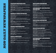### Feature photography

**1st PLACE:** Brady Minow Smith, The Boulder Monitor *Bucking Horse Sale photo*

**2ND PLACE:** Chris Goodenow, Enterprise Newspapers *Playing in puddles isn't just for kids anymore*

**3RD PLACE:** Chris Goodenow, Enterprise Newspapers *Ruling in the pool: One armed U.S.-record holder swims with her whole heart*

### General News Coverage

**1st PLACE:** Kirsten Grind, Alwyn Scott, Puget Sound Business Journal *WaMu's Final Days*

**2ND PLACE:** Les Bowen, Lake Chelan Mirror *Records detail ongoing payments to CEO at Lake Chelan Community Hospital*

**FEATU**<br>
IST PLAC<br>
Bucking Hors<br>
2ND PLAC<br>
Playing in put<br>
3RD PLAC<br>
Ruling in the pheart<br>
heart<br> **CENER**<br>
1ST PLAC<br>
Business Jo<br>
WaMus Fina<br>
2ND PLAC<br>
Records detail<br>
Hospital<br>
3RD PLAC<br>
Flat in the might he m<br> **SPORT**<br>
1 **PHY**<br>The Boulder Monitor<br>Preprise Newspapers<br>Preprise Newspapers<br>*der swims with her whole*<br>**RAGE**<br>Scott, Puget Sound<br>an Mirror<br>*ake Chelan Community*<br>Adam Hicks,<br>*nan had dinner with killer*<br>**TY**<br>Ranogan County<br>Press<br>we **3RD PLACE:** Lindsay Larin, Joshua Adam Hicks, Bellevue Reporter *'I can't believe he didn't kill ME': Eastside woman had dinner with killer the night he murdered his girlfriend*

### Sports photography

**E PHOTOGRA**<br>
Brady Minow Smith,<br>
Brady Minow Smith,<br>
Bles isn't just for kids anymotols.<br>
Les isn't just for kids anymotols.<br>
Les Economes, Explicit Consumers is a<br>
Les Bowen, Lake Ch<br>
Les Bowen, Lake Ch<br>
Les Bowen, Lake **1st PLACE:** Al Camp, The Omak-Okanogan County Chronicle *Omak goes down fighting* **2ND PLACE:** Greg Farrar, Issaquah Press

*Baton Handoff\_track*

**3RD PLACE:** Chad Coleman, Bellevue Reporter *Pride of Katy, Texas*

### PHOTO PORTFOLIO

**1ST PLACE:** Damian Mulinix/Staff Photojournalist, The Chinook Observer

**2ND PLACE:** Al Camp, The Omak-Okanogan County Chronicle

**3RD PLACE:** Chad Coleman, Bellevue Reporter

### Spot News Reporting

**1st PLACE:** J.B. Wogan, Sammamish Review *City rescues wily coyotes*

# Government and Politics Reporting

**SPOT NEW:**<br> **SPOT NEW:**<br> **IST PLACE:** J.B.<br> *City rescues wily coyot*<br> **GOVERNMI**<br> **REPORTIN**<br> **IST PLACE:** Mat<br>
REPORTIRE EXCLI<br> *criminal record, overs* (*2ND PLACE:* Sue<br> *Hospital CEO search i*<br> **3RD PLACE:** Wa<br> *Cand* **REPORTING**<br>
Vogan, Sammamish Re<br>
Vogan, Sammamish Re<br>
Phelps, Carrie Wood, K<br>
IVE / Council candidate M<br>
IVE / Council candidate M<br>
IVE / Council candidate M<br>
vivent wraps<br>
en Kagarise, Issaquah<br>
book, Twitter to connect<br> iew<br>ICS<br>"kland<br>tin Morgan has<br>pey Examiner<br>"ress<br>"ewspapers"<br>ichool a<br>".<br>"school a"<br>".<br>"Free Press"<br>"Free Press"<br>"Free Press"<br>"Free Press"<br>"Wiew"<br>"Ree Press" **1st PLACE:** Matt Phelps, Carrie Wood, Kirkland Reporter *REPORTER EXCLUSIVE | Council candidate Martin Morgan has criminal record, owes city \$20,000*

**2ND PLACE:** Sue Ellen White, The Whidbey Examiner *Hospital CEO search kept under wraps*

**3RD PLACE:** Warren Kagarise, Issaquah Press *Candidates turn to Facebook, Twitter to connect*

### Education Reporting

**1st PLACE:** Cydney Gillis, Real Change Newspapers *Parents call changes at Seattleâ€<sup>™</sup>s Indian Heritage School a whitewash*

**2ND PLACE:** Laura Geggel, SnoValley Star *Students happily return to boomerang lessons*

### Health Reporting

**1st PLACE:** Erik Hansen, South Seattle Beacon *Getting to the root of America's obesity epidemic*

**2ND PLACE:** Cathy Herholdt, Journal Newspapers  $Helping$  Hands: Local family opens their hearts, home  $\hat{a}\mathbf{\epsilon}^{n}$  and arms *— so Ethiopian boy can receive his own*

**3RD PLACE:** Lorie Palmer, Idaho County Free Press *Family works through autism diagnosis*

# Environment and Science Reporting

**1st PLACE:** Chris Huber, Sammamish Review *Frogs versus Toads*

**2ND PLACE:** Tammy Kimberley, Liberty Lake Splash *Phosphorus detergent ban turns 1*

**3RD PLACE:** Harris Meyer *Puget Sound Business Journal: Clean tech -- Eastern Washington abounds ...*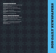### Business Reporting

ng Jones, Puget<br>
ty<br>
d Business<br>
n Business<br> **ING**<br>
ge Newspapers<br>
Northwest<br>
ng families apart<br>
Review<br>
Review **1st PLACE:** Kirsten Grind, Jeanne Lang Jones, Puget Sound Business Journal *Foreclosed: A week inside the crisis in King County*

**2ND PLACE:** Greg Lamm, Puget Sound Business Journal *Shooting for Glory - Seattle University*

**3RD PLACE:** Isaac Bonnell, Bellingham Business Journal *Alcoa suspends power deal as aluminum drops*

# Social Issues Reporting

**1st PLACE:** Cydney Gillis, Real Change Newspapers *Affordable Rentals takes \$250 from homeless couple*

**BUSINES**<br>
1ST PLACE:<br>
Sound Busine<br>
Foreclosed: A wee<br>
2ND PLACE:<br>
Journal<br>
Shooting for Glor<br>
3RD PLACE:<br>
Journal<br>
Alcoa suspends p<br> **SOCIAL 1**<br>
1ST PLACE:<br>
Affordable Renta<br>
2ND PLACE:<br>
Progress<br>
Crackdown on un<br>
3RD PL **S REPORTING**<br>
irsten Grind, Jeanne I<br>
i*nside the crisis in King Con*<br>
ireg Lamm, Puget Sou<br> *Seattle University*<br>
saac Bonnell, Bellingh:<br> *ver deal as aluminum drops*<br> **SSUE:S REPOR**<br>
ydney Gillis, Real Cha<br> *dakes \$250* **2ND PLACE:** Terry McGuire, Catholic Northwest Progress *Crackdown on undocumented immigrants 'ripping families apart'* **3RD PLACE:** J.B. Wogan, Sammamish Review

*Affordable housing series*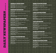**GENER**<br>
1ST PLAC<br>
2ND PLAC<br>
3RD PLAC<br>
3RD PLAC<br>
3RD PLAC<br>
Family for hit<br>
2ND PLAC<br>
5PD PLAC<br>
5PD PLAC<br>
Sup the press<br>
3RD PLAC<br>
2ND PLAC<br>
2ND PLAC<br>
4PH/ing for :<br>
3RD PLAC<br>
The Kalama (<br>
2ND PLAC<br>
The Kalama (<br>
2ND PLAC<br> **LL EXCELLEN**<br>
Staff, The Times-Nev<br>
: Staff, Bozeman Daily<br>
: Fairbanks Daily Nev<br> **SS REPORTIN<br>
Amanda Ricker**, Bozema<br>
: Mike Johnston, Dail;<br>
: Steven Friederich, T<br>
g Kurt<br>
ISSUES REPO<br>
Jodi Hausen, Bozema<br>
and decisi **1ST PLACE:** Staff, The Times-News **2ND PLACE:** Staff, Bozeman Daily Chronicle **3RD PLACE:** Fairbanks Daily News-Miner

### Business Reporting

E<br>Bronicle<br>Miner<br>Annan Daily Chronicle<br>Record<br>Paily World<br>Paily Chronicle<br>News<br>an Daily Chronicle<br>News<br>Ran Daily Chronicle<br>News<br>Ran Daily Chronicle<br>News<br>Ran Daily Chronicle<br>News<br>Ran Daily Chronicle<br>News<br>Ran Daily Chronicle **1st PLACE:** Amanda Ricker, Bozeman Daily Chronicle *Family for hire*

**2ND PLACE:** Mike Johnston, Daily Record *Stop the presses*

**3RD PLACE:** Steven Friederich, The Daily World *Commercializing Kurt*

### Social Issues Reporting

**1st PLACE:** Jodi Hausen, Bozeman Daily Chronicle *Preventing the final decision*

**2ND PLACE:** Tony Lystra, The Daily News *Anything for Sative (three-day series)*

**3RD PLACE:** Staff, The Daily Astorian *Hispanic Series (Four parts)*

### Personalities Reporting

**1st PLACE:** Amy M.E. Fischer, The Daily News *The Kalama Connection*

**2ND PLACE:** Rachel Hergett, Bozeman Daily Chronicle *The Bird Man of Bozeman*

**3RD PLACE:** Tony Lystra, The Daily News *Lockerbie revisited*

### Lifestyles Reporting

**1st PLACE:** Ben Pierce, Bozeman Daily Chronicle *Jefferson River Float*

**2ND PLACE:** Vince Richardson, Skagit Valley Herald *Steelhead Fever*

**3RD PLACE:** Zach Urness, Grants Pass Daily Courier *Devil's Punchbowl*

### Short Feature Story

**1st PLACE:** Alfred Diaz, Walla Walla Union-Bulletin *Pow-wow shares tribe's traditions, dances*

**2ND PLACE:** Jessica Musicar, The World *Losing Stevie*

**3RD PLACE:** Rachel Thomson, The Daily World *Haunted Harbor?*

### Long Feature Story

**1st PLACE:** Glenn BurnSilver, Fairbanks Daily News-Miner *Polar bears*

)<br>pn-Bulletin<br>World<br>dy News-Miner<br>nocrat-Herald<br>y Chronicle<br>Herald<br>Novak,<br>Chronicle<br>News-Miner<br>y Chronicle<br>Novak,<br>Dhronicle<br>News-Miner **2ND PLACE:** Jennifer Moody, Albany Democrat-Herald *Long-lost love*

**3RD PLACE:** Daniel Person, Bozeman Daily Chronicle *Hebgen earthquake: 50 years on*

### Arts Reporting

**1st PLACE:** Ralph Schwartz, Skagit Valley Herald *Whimsey Writ Large*

**2ND PLACE:** Tony Lystra, The Daily News *Freakiest show on Earth*

**SHORT FEA**<br>
1ST PLACE: Alfr<br>
Pow-wow shares tribes<br>
2ND PLACE: Jess<br>
Losing Stevic<br>
3RD PLACE: Rac<br>
Haanted Harbor?<br> **LONG FEAT**<br>
1ST PLACE: Glem<br>
Polar bears<br>
2ND PLACE: Jen<br>
Polar bears<br>
2ND PLACE: Jen<br>
Long-lost love<br> **I'IRE STORY**<br>
I Diaz, Walla Walla Un<br>
aditions, dances<br>
ca Musicar, The World<br>
el Thomson, The Daily<br> **JRE STORY**<br>
BurnSilver, Fairbanks D<br>
fer Moody, Albany De<br>
el Person, Bozeman Diazarson<br> **RTING**<br>
Schwartz, Skagit Val **3RD PLACE:** Nancy Raskauskas, Theresa, Novak, Scobel Wiggins, Corvallis Gazette-Times *Homegrown Books*

### Sports Reporting

**1st PLACE:** Gidal Kaiser, Bozeman Daily Chronicle *Hawk girls denied another Class AA title*

**2ND PLACE:** Rick Alvord, The Daily News *Comeback kids*

**3RD PLACE:** Danny Martin, Fairbanks Daily News-Miner *The firing of a hockey coach*

### Sports Feature Story

**1st PLACE:** Will C. Holden, Bozeman Daily Chronicle *The 50-pound club*

**2ND PLACE:** Rick Alvord, The Daily News *Answering the buzzer*

**3RD PLACE:** Tim Dumas, Bozeman Daily Chronicle *d Great Dane*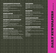# *ation <25K*

**1st PLACE:** Jodi Hausen, Bozeman Daily Chronicle *Comprehensive coverage of mental health issues in Gallatin County and the surrounding areas*

**2ND PLACE:** Staff, Independent Record *Continuum of Care*

**3RD PLACE:** Staff, Fairbanks Daily News-Miner *Yukon River flooding*

# Sports Column

**COMPRE**<br>
1ST PLACE:<br>
Comprehensive c<br>
and the surround<br>
2ND PLACE:<br>
Continuum of Cc<br>
3RD PLACE:<br>
Yukon River floo<br> **SPORTS**<br>
1ST PLACE:<br>
2ND PLACE:<br>
2ND PLACE:<br>
EDITORI<br>
1ST PLACE:<br>
EMPLACE:<br>
EMPLACE:<br>
EMPLACE:<br>
Editorial **IENSIVE COV**<br>
ddi Hausen, Bozeman<br>
erage of mental health issue<br>
gareas<br>
taff, Independent Rec<br>
taff, Fairbanks Daily 1<br>
19<br> **(OLUMN**<br>
Till C. Holden, Bozema<br>
ricalley Guire, The Din<br>
radley Guire, The Din<br>
radley Guire, **RAGE**<br>
hily Chronicle<br>
n Gallatin County<br>
d<br>
ws-Miner<br>
Daily Chronicle<br>
y World<br>
s-News<br> **ENTARY**<br>
Record<br>
News<br>
c.<br>
ily News-Miner<br>
cle<br>
cle<br>
other; A Valentine's<br>
—News<br>
-News<br>
Fry..." "When the long<br>
baily Courier<br>
all **1st PLACE:** Will C. Holden, Bozeman Daily Chronicle **2ND PLACE:** Rick Anderson, The Daily World **3RD PLACE:** Bradley Guire, The Times-News

# Editorial and Commentary

**1st PLACE:** John Doran, Independent Record *State of Montana issues*

**2ND PLACE:** Don Jenkins, The Daily News *Bill seeks to shine light on spending by lobbyists etc.*

**3RD PLACE:** Rod Boyce, Fairbanks Daily News-Miner *Editorials1*

# Column Writing

**1ST PLACE:** Brian Mittge, The Chronicle *When Stuck Up a Creek, We Depend on One Another; A Valentine's Tale of Enduring Love; A Merry Musical Christmas*

**2ND PLACE:** Steve Crump, The Times-News *"Old men, absent friends ...," "Have yourself a merry ..." "When the long knives comes out ..."*

**3RD PLACE:** Todd Wels, Grants Pass Daily Courier *Cronkite's death leaves nation, industry poorer; Halloween's the most boo-tiful time of year; Taking the time to check out your library worth it.*

# Page Design

**PAGE DESIG:**<br> **PAGE DESIG:**<br> **SRD PLACE:** Doug I<br> **SRD PLACE:** James<br>
Miner<br> **HEADLINES**<br> **IST PLACE:** Julie E<br> **SND PLACE:** Cathe<br>
Walla Union-Bulletii<br> **SRD PLACE:** Staff,<br> **NEWS PHOT**<br> **IST PLACE:** Sean S<br>
Firefighters rvey, The News-Revie<br>Idwin, Independent R<br>Frooks, Fairbanks Dail<br>Silin, The Daily News<br>ne J. Hicks, wire edito:<br>rants Pass Daily Couri<br>Try, Bozeman Daily C<br>ush scene<br>News Press Daily World<br>None, The Chronicle<br>Kson, The Dai **1ST PLACE:** Doug Harvey, The News-Review **2ND PLACE:** Matt Baldwin, Independent Record **3RD PLACE:** James Brooks, Fairbanks Daily News-Miner

### Headlines

**1st PLACE:** Julie Breslin, The Daily News **2ND PLACE:** Catherine J. Hicks, wire editor, Walla Walla Union-Bulletin

**3RD PLACE:** Staff, Grants Pass Daily Courier

### News Photography

**1st PLACE:** Sean Sperry, Bozeman Daily Chronicle *Firefighters and EMTs at crash scene*

**2ND PLACE:** Dan Schreiber, The Chronicle *Fish Perish in Mudslide*

**3RD PLACE:** Dan Jackson, The Daily World *Cameron waits*

# Feature Photography

**1st PLACE:** Erik Petersen,Bozeman Daily Chronicle *Owl eating a mouse* **2ND PLACE:** Eric Engman, Fairbanks Daily News-

Miner *Bee Sting*

**3RD PLACE:** Matthew B. Zimmerman, Walla Walla Union-Bulletin *Police Patchwork*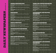### Sports Photography

**1st PLACE:** Erik Petersen, Bozeman Daily Chronicle *Rodeo rider*

**2ND PLACE:** Nick Wolcott, Bozeman Daily Chronicle *Skiing*

**3RD PLACE:** Pete Caster, The Chronicle *You're Out!*

# Photopage

**1st PLACE:** E.J. Harris, Joe Duty, Joe Tierney, East Oregonian *Round-Up Rodeo*

**2ND PLACE:** Eric Engman, Fairbanks Daily News-Miner *Yukon Quest*

**3RD PLACE:** Jeff Horner, Walla Walla Union-Bulletin *FALL FANTASTIC PANORAMA -- pages 1 & 2*

### Photo Portfolio

**1st PLACE:** Ben Pierce, Bozeman Daily Chronicle **2ND PLACE:** Brian Myrick, Daily Record **3RD PLACE:** Mark Ylen, Albany Democrat-Herald

### Investigative Reporting

**SPORT**<br> **SPORT**<br>
1ST PLAC<br>
Rodeo rider<br>
2ND PLAC<br>
Skiing<br>
3RD PLAC<br>
You're Out!<br> **PHOTO**<br>
1ST PLAC<br>
Oregonian<br>
Romal-Up Rac<br>
2ND PLAC<br>
The firing of a<br>
2ND PLAC<br>
2ND PLAC<br>
2ND PLAC<br>
2ND PLAC<br>
2ND PLAC<br>
2ND PLAC<br>
2ND PLAC<br> **PHOTOGRAP**<br>Erik Petersen, Bozen<br>Erik Petersen, Bozen<br>: Nick Wolcott, Bozem<br>: Pete Caster, The Chr<br>**AGE**<br>E.J. Harris, Joe Duty,<br>o<br>Eric Engman, Fairban<br>: Jeff Horner, Walla W<br>**PORTFOLIO**<br>Ben Pierce, Bozeman<br>: Brian Myrick, IY<br>
In Daily Chronicle<br>
1 Daily Chronicle<br>
1 Daily News-Miner<br>
1 Daily News-Miner<br>
1 La Union-Bulletin<br>
1 La 2<br>
2 Daily Chronicle<br>
1 Cord<br>
2 Morid<br>
2 Rews-<br>
2 Morld<br>
2 World<br>
4 L.E. Fischer, The<br> *breach leve*<br>
2 Paim Hera **1ST PLACE:** Danny Martin, Fairbanks Daily News-Miner *The firing of a hockey coach* **2ND PLACE:** Meghan Walsh, The World *Did he lie?*

### Spot News Reporting

**1ST PLACE:** Callie White, The Daily World *Rough crossing north of Hoquiam*

**2ND PLACE:** Barbara LaBoe, Amy M.E. Fischer, The Daily News *South Kelso evacuated Coweeman threatens to breach levee*

**3RD PLACE:** Kira Cox, Staff, Bellingham Herald *Whatcom Middle School Fire*

### Crime and Justice Reporting

**1st PLACE:** Tahlia Ganser, Skagit Valley Herald *Missing dog trainer's life a tangle of contradictions*

**2ND PLACE:** Jacob Jones, The Daily World *"I will find my daughter"*

**3RD PLACE:** Chelsea Krotzer, Daily Record *Not Guilty*

### Government and Politics Reporting

**1ST PLACE:** Jared Hopkins, The Times-News *"Legislature of hard knocks"*

**2ND PLACE:** Barbara LaBoe, The Daily News *One-stop commanding*

**3RD PLACE:** Ralph Schwartz, Skagit Valley Herald *The rising price of justice* 

### Education Reporting

**1st PLACE:** Cheryl Hatch, Corvallis Gazette-Times *Goodbye, Dr. J*

**2ND PLACE:** Amy M.E. Fischer, The Daily News *The \$141,000 student*

**CRIME ANI**<br>
1ST PLACE: Tah<br>
Missing dog trainer's la<br>
2ND PLACE: Jac<br>
Twill find my daughta<br>
3RD PLACE: Che<br>
Not Guilty<br> **GOVERNMI**<br> **REPORTIN**<br>
1ST PLACE: Jare<br>
"Legislature of hard he<br>
2ND PLACE: Bar<br>
"Legislature of ha **JUSTICE REP**<br>
(Ganser, Skagit Valley<br> *a tangle of contradictions*<br>
Jones, The Daily Wor<br>
ea Krotzer, Daily Rece<br> **NT AND POLI!**<br>
Hopkins, The Times-1<br> *ks"*<br>
1ra LaBoe, The Daily I<br>
1 Schwartz, Skagit Val<br>
9<br> **REPORTING RTING**<br>
Herald<br>
d<br>
d<br>
d<br> **ICS**<br>
ws<br>
ws<br>
ws<br>
we Herald<br>
te-Times<br>
News<br>
liy Chronicle<br>
te-Times<br>
le<br>
de Times<br>
le *sa hard*<br>
ly Chronicle<br>
te-Times<br>
le *sa hard*<br>
ly Chronicle<br>
te-Times<br>
le *sa hard*<br>
ly Chronicle<br>
te-Time **3RD PLACE:** Gail Schontzler, Bozeman Daily Chronicle *Outgoing Montana State University President Geoff Gamble is a hard act to follow*

### Health Reporting

**1st PLACE:** Gail Schontzler, Bozeman Daily Chronicle *Kids living with cancer find grace under the Big Sky*

**2ND PLACE:** Bennett Hall, Corvallis Gazette-Times *"Making the Rounds"*

**WW01 PLACE:** Brian Mittge, The Chronicle *A Joyful Life, a Race for the Cure*

# Environment and Science Reporting

**1ST PLACE:** Ariel Hansen, The Times-News *"Formerly human-fed elk herd causing struggles in Elkhorn subdivision"*

**2ND PLACE:** Greg Garrison, The Daily News *Ecology meets economy*

**3RD PLACE:** Ben Pierce, Bozeman Daily Chronicle *Pine Beetle Outbreak*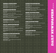# public<br>*d*-Republic<br>*institut*<br>and<br>and<br>and<br>and<br>and<br> $\frac{1}{2}$ <br> $\frac{1}{2}$ <br> $\frac{1}{2}$ <br> $\frac{1}{2}$ <br> $\frac{1}{2}$ <br> $\frac{1}{2}$ <br> $\frac{1}{2}$ <br> $\frac{1}{2}$ <br> $\frac{1}{2}$ <br> $\frac{1}{2}$ <br> $\frac{1}{2}$ <br> $\frac{1}{2}$ <br> $\frac{1}{2}$ <br> $\frac{1}{2}$ <br> $\frac{1}{2}$ <br> $\frac{1}{2}$ <br> $\frac{1}{2}$ <br>*wspa per s CIRC. 25K - 65K*

### General Excellence

**GENERA**<br>
1ST PLACE:<br>
2ND PLACE:<br>
2ND PLACE:<br>
3RD PLACE:<br>
Kitsap Sun<br> *Making the Arra*<br>
2ND PLACE:<br>
The Columbian:<br>
3RD PLACE:<br>
SIGNINES<br>
1ST PLACE:<br>
2ND PLACE:<br>
Raising a Comm<br>
2ND PLACE:<br>
Raising a Comm<br>
2ND PLACE:<br>
Mix **EXCELLENCI**<br>**EXCELLENCI**<br>**Aff.** Billings Gazette<br>taff. Statesman Journ<br>**SREPORTING**<br>**DEPORTING**<br>**DEPORTING**<br>**DEPORTING**<br>**SREPORTING**<br>*ements for a World Market*<br>Sourtney Shervood, Crains a Bad Hand<br>dichelle Dunlop, The Le **1st PLACE:** Staff, Billings Gazette **2ND PLACE:** Staff, The Daily Herald (Everett) **3RD PLACE:** Staff, Statesman Journal

### Business Reporting

Everett)<br>Mathewson,<br>urtney Sherwood<br>ily Herald<br>Inbian<br>Herald<br>TNG<br>mal<br>ife<br>Herald-Republic<br>TING<br>zette<br>dily Herald Republic<br>zette **1st PLACE:** Chris Henry, Tara Garcia Mathewson, Kitsap Sun *Making the Arrangements for a World Market*

**2ND PLACE:** Courtney Sherwood, Courtney Sherwood *The Columbian: Lending a Bad Hand*

**3RD PLACE:** Michelle Dunlop, The Daily Herald *Signs were clear Boeing wasn't tied to location*

# Business Column

**1st PLACE:** Julia Anderson, The Columbian **2ND PLACE:** Mike Benbow, The Daily Herald

# Social Issues Reporting

**1st PLACE:** Ruth Liao, Statesman Journal *Raising a Community: School Readiness*

**2ND PLACE:** Melissa Sanchez, Yakima Herald-Republic *Mixteco-speaking immigrants struggle to make a life*

**3RD PLACE:** Melissa Sanchez, Yakima Herald-Republic *At a loss*

# Personalities Reporting

**1st PLACE:** Josh Farley, Kitsap Sun *Kingston Couple Died as They Lived... Together*

**2ND PLACE:** Donna Healy, Billings Gazette *A surrogate's journey*

**3RD PLACE:** Theresa Goffredo, The Daily Herald *Memories that never fade*

# Lifestyles Reporting

**1st PLACE:** Jane Gargas, Yakima Herald-Republic *Living lightly on earth*

**2ND PLACE:** Paris Achen, Mail Tribune *Fashion Sense (Fashion during the recession)*

**3RD PLACE:** Melissa Sanchez, Yakima Herald-Republic *Viva la Centinela - Mexican-style rodeo*

# Short Feature Story

**1ST PLACE:** Debra Smith, The Daily Herald *The Only Wish Left: To a dying father, a tattoo wasnâ* $\varepsilon^{m}$ *t just ink* 

**2ND PLACE:** Andy Rathbun, The Daily Herald *Prison-yard artists learn a Native American craft*

**3RD PLACE:** Barbara Curtin, Statesman Journal *In memory of dad's honor*

# Long Feature Story

**LIFESTYLES**<br> **LIFESTYLE:** Jane G<br>
Living lightly on earth<br>
2ND PLACE: Paris<br>
Fashion Sense (Fashion a<br>
3RD PLACE: Meliss<br>
Viva la Centinela - Mexic<br> **SHORT FEAT**<br>
1ST PLACE: Debra<br>
2ND PLACE: Andy<br>
Prison-yard artists lea **REPORTING**<br>Fass, Yakima Herald-Henn, Mail Tribune<br>*ing the recession)*<br>Sanchez, Yakima Her<br>*style rodeo*<br>**IRE STORY**<br>nith, The Daily Heral<br>*ing father, a tattoo wasna*6<br>athbun, The Daily Heral<br>Curtin, Statesman Jo<br>**LE STO 1st PLACE:** Melissa Sanchez, Yakima Herald-Republic *No escape*

**2ND PLACE:** Alandra Johnson, The Bulletin *Making visits meaningful*

**3RD PLACE:** Kaitlin Manry, The Daily Herald *Sacia's promise*

# Arts Reporting

**1st PLACE:** Barbara Curtin, Statesman Journal *In the business of magic*

**2ND PLACE:** Adam Kispert, Kitsap Sun *'Best of the Decade' album reviews*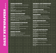### Sports Reporting

**1st PLACE:** Scott Spruill, Yakima Herald-Republic *End of an era*

**2ND PLACE:** Gary Horowitz, Jim Day, Statesman Journal *Rose Bowl coverage*

**3RD PLACE:** Sanne Specht, Mail Tribune *Grants Pass racing season turns deadly*

### Sports Feature Story

**1st PLACE:** Nathan Joyce, Kitsap Sun *For Jake Beitinger, It's Been a Long and Winding Basketball Road*

**2ND PLACE:** Scott Sandsberry, Yakima Herald-Republic *Life Force - A new opponent for Lynden Christian coach Curt De Haan*

**3RD PLACE:** Mike Cane , The Daily Herald *Local boy finds hope in football*

### Comprehensive Coverage

**SPORT**<br> **SPORT**<br> **IST PLAC**<br> *End of an era*<br> **2ND PLAC**<br>
Journal<br> *Rose Boul cov*<br> **SRD PLAC**<br> *Grants Pass n*<br> **SPORT**<br> **IST PLAC**<br> *Life Force - A*<br> **SRD PLAC**<br> *Local boy find*<br> **COMPR**<br> **IST PLAC**<br> *A mystery ülv*<br> **REPORTING**<br>
Scott Spruill, Yakima<br>
:: Gary Horowitz, Jim<br> *uge*<br>
:: Sanne Specht, Mail *ing season turns deadly*<br> **FEATURE ST**<br>
Nathan Joyce, Kitsap<br>
er, It's Been a Long and Wi<br>
:: Scott Sandsberry, Ya<br>
we opponent for L Ierald-Republic<br>ay, Statesman<br>ibune<br><br>**RY**<br>un<br>ing Basketball Road<br>ma Herald<br>Herald<br>**ERAGE**<br>sman Journal<br>Herald<br>bian<br>ima Herald<br>bian<br>iman Journal<br>Herald **1ST PLACE:** Lily Raff, The Bulletin *A mystery illness, a spirited fight* **2ND PLACE:** Alan Gustafson, Statesman Journal *Oregon State Hospital coverage* **3RD PLACE:** Scott North, The Daily Herald

*The strange tale of Shawna Forde*

# Sports Column

**1ST PLACE:** Greg Jayne, The Columbian **2ND PLACE:** Bill Speltz, Missoulian **3RD PLACE:** Roger Underwood, Yakima Herald-Republic

### Editorial and Commentary

}}}}}}} **1ST PLACE:** Carol MacPherson, The Daily Herald **2ND PLACE:** Gary Nelson, Mail Tribune **3RD PLACE:** Tom Koenninger, The Columbian

### Column Writing

**1st PLACE:** Sanne Specht, Mail Tribune **2ND PLACE:** Julie Muhlstein, The Daily Herald

### Page Design

**EDITORIAI**<br>
1ST PLACE: Care<br>
2ND PLACE: Gare<br>
3RD PLACE: Tor<br> **COLUMN W**<br>
1ST PLACE: San<br>
2ND PLACE: Juli<br> **PAGE DESI**<br>
1ST PLACE: Juli<br> **PAGE DESI**<br>
1ST PLACE: Jer<br>
3RD PLACE: Jer<br> **NEWS PHO**<br>
1ST PLACE: Kai<br> *Rollover T* AND COMMEN<br>MacPherson, The Dai<br>Nelson, Mail Tribune<br>Koenninger, The Colu<br>Specht, Mail Tribune<br>Muhlstein, The Daily<br>Mayer, The Daily Her<br>ay Dutton, Tri-City Her<br>ay Dutton, Tri-City Her<br>fer Montgomery, The<br>OGRAPHY<br>Willigan, **1ST PLACE:** Katie Mayer, The Daily Herald **2ND PLACE:** Jeremy Dutton, Tri-City Herald **3RD PLACE:** Jennifer Montgomery, The Bulletin

### News Photography

**1st PLACE:** Kai-Huei Yau, Tri-City Herald *Rollover Trap*

**2ND PLACE:** Mark Mulligan, The Daily Herald *Honor Guard Flag*

**3RD PLACE:** Kobbi R. Blair, Statesman Journal *Octoberfest*

### Feature Photography

**1st PLACE:** Kurt Wilson, Missoulian *Eagle Liftoff*

**2ND PLACE:** Bob Pennell, Mail Tribune *Natural Baby Food*

**3RD PLACE:** Rob Kerr, The Bulletin *Watermelon Hat*

### Sports Photography

**1ST PLACE:** Dan Bates, The Daily Herald *Motocross Racer*

**2ND PLACE:** Rob Kerr, The Bulletin *Grand Slam*

**3RD PLACE:** Gordon King, Yakima Herald-Republic *d Rodeo miss*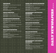# **TING**<br>ournal<br>d-Republic<br>**SS**<br>the<br>republic stars *dents*<br>public<br>public<br>**EE**<br>public<br>aian *wspa per s CIRC. 25K - 65K*

# Photopage

**1ST PLACE:** Sara Gettys, Yakima Herald-Republic *Bringing Evan home*

**2ND PLACE:** Kurt Wilson, Missoulian *Unexpected Joy*

**3RD PLACE:** James Woodcock, Billings Gazette *Womens Prison Sweat Lodge*

# Photo Portfolio

**PHOTOP.**<br>
1ST PLACE:<br>
Bringing Evan h<br>
2ND PLACE:<br>
Unexpected Joy<br>
3RD PLACE:<br>
Womens Prison:<br> **PHOTO E**<br>
1ST PLACE:<br>
2ND PLACE:<br> **INVESTI**<br>
1ST PLACE:<br>
Oregons Financi<br>
2ND PLACE:<br>
Herald<br>
Devotion & Doub<br>
critics questi **GE**<br> **GE**<br> **GEE**<br> **GEE**<br> **CALCRECITY ANDISON DESCRIPS TO LATE DESCRIPTION ON STATE OLIGATION BASES. The Daily Highland Rather, Billings G<br>
ara Gettys, Yakima Highland Rather, Billings G<br>
ara Gettys, Yakima Highland Rather** ld-Republic<br>s Gazette<br>ald<br>dette<br>ald-Republic<br>an Journal<br>tz, The Daily<br>for animals, but<br>erald<br>el, The Daily<br>whian<br>man Journal<br>spin minds, but<br>phy animals but **1ST PLACE:** Dan Bates, The Daily Herald **2ND PLACE:**Paul Ruhter, Billings Gazette **3RD PLACE:** Sara Gettys, Yakima Herald-Republic

# Investigative Reporting

**1st PLACE:** Mackenzie Ryan, Statesman Journal *Oregon's Financial Gamble*

**2ND PLACE:** Scott North, Jackson Holtz, The Daily Herald

*Devotion & Doubts, Pasado's Safe Haven is a force for animals, but critics question its tactics and tangled finances*

**3RD PLACE:** John Trumbo, Tri-City Herald *A pastor's cloudy past*

# Spot News Reporting

**1st PLACE:** Jackson Holtz, Diana Hefley, The Daily Herald *Officer charged in killing*

**2ND PLACE:** John Branton, The Columbian *Man gets 120 years for shooting at police*

**3RD PLACE:** Stacey Barchenger, Statesman Journal *Marion County sheriff resigns*

# Crime and Justice Reporting

**1st PLACE:** Stacey Barchenger, Statesman Journal *Ivan Cam familiar face in jail*

**2ND PLACE:** Greg Tuttle, Billings Gazette *Murder of Billings woman unsolved after 10 years*

**3RD PLACE:** Melissa Sanchez, Yakima Herald-Republic *Illegal immigrants, unlawful activities*

# Government and Politics **REPORTING**

**1st PLACE:** Erik Robinson, The Columbian *Washed Away*

**2ND PLACE:** Pat Muir, Yakima Herald-Republic *E-mails show outside influence*

**3RD PLACE:** Tracy Loew, Statesman Journal *WESD financial and management investigation*

# Education Reporting

**1st PLACE:** Mackenzie Ryan, Statesman Journal *The Experience Factor*

**2ND PLACE:** Amy Rolf, The Daily Herald *Back to School*

**3RD PLACE:** Chelsi Moy, Missoulian *Recruiting on the rez: UM appeals directly to American Indian students*

# Health Reporting

**1st PLACE:** Amie Thompson, Great Falls Tribune *Lethal Legacy, a three-day series*

**2ND PLACE:** Scott Hewitt, The Columbian *Baby Steps Toward Recovery*

**3RD PLACE:** Sharon Salyer, The Daily Herald *Fight for Life After Dog Bite Evolves Into Battle To Regain Mobility*

# **CRIME AND**<br>
1ST PLACE: Stacey<br>
Ivan Camfamiliar face in<br>
2ND PLACE: Greg<br>
2ND PLACE: Greg<br>
Murder of Billings womas<br>
3RD PLACE: Meliss<br>
Illegal immigrants, unlau<br> **GOVERNME!**<br> **REPORTING**<br>
1ST PLACE: Erik R<br>
Washed Away<br> **USTICE REPO**<br>
archenger, Statesman<br>
id<br>
ittle, Billings Gazette<br>
msolved after 10 years<br>
Sanchez, Yakima Her<br>
lactivities<br> **TAND POLITI**<br>
inson, The Columbian<br>
r, Yakima Herald-Rep<br>
nee<br>
coew, Statesman Journ<br>
gement inve Environment and Science **REPORTING**

**1st PLACE:** Bill Sheets, The Daily Herald *Hostile Waters*

**2ND PLACE:** Phil Ferolito, Yakima Herald-Republic *Burial the natural way in cemetery near Goldendale*

**3RD PLACE:** Michael Andersen, The Columbian *An Agricultural Mystery*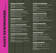**1ST PLACE:** Staff, The Oregonian **2ND PLACE:** Staff, The Seattle Times **3RD PLACE:** Staff, The Spokesman-Review

### Business Reporting

**1ST PLACE:** Hal Bernton, The Seattle Times *The Struggle for Power Aboard the Doomed Alaska Ranger*

**2ND PLACE:** Sharon Pian Chan, The Seattle Times *Microsoft interns get perks, pay, play*

**3RD PLACE:** Nick Perry, The Seattle Times *Collapse still haunts former WaMu workers*

### Business Column

**GENER**<br>1ST PLAC<br>2ND PLAC<br>3RD PLAC<br>3RD PLAC<br>3RD PLAC<br>1ST PLAC<br>7ne Struggle 1<br>2ND PLAC<br>Microsoft inte<br>3RD PLAC<br>2ND PLAC<br>3RD PLAC<br>5OCIAl<br>1ST PLAC<br>2ND PLAC<br>5OCIAl<br>1ST PLAC<br>2ND PLAC<br>3RD PLAC<br>3RD PLAC<br>3RD PLAC<br>3RD PLAC<br>3RD PLAC **LL EXCELLEN**<br>
Staff, The Oregonian<br>
: Staff, The Seattle Tin<br>
: Staff, The Seattle Tin<br>
: Staff, The Spokesma<br> **SS REPORTIN**<br>
Hal Bernton, The Sea<br>
: Sharon Pian Chan, 1<br>
: Nick Perry, The Sea<br>
: Sharon Pian Chan, 1<br>
: Ni **1st PLACE:** Bill Virgin, Bill Virgin **2ND PLACE:** Rami Grunbaum, The Seattle Times **3RD PLACE:** Jon Talton , The Seattle Times

### Social Issues Reporting

**1st PLACE:** Nicholas K. Geranios, The Associated Press *Stain of Aryan Nations remains in Idaho*

**2ND PLACE:** Erik Lacitis, The Seattle Times *It's the end after 32 years for Renton's last general bookstore*

**3RD PLACE:** Lornet Turnbull, The Seattle Times *Martin Luther King and Barack Obama*

### Personalities Reporting

**1st PLACE:** Scott Fontaine, The News Tribune *Lt. Dan*

E<br>Bess<br>Review<br>de Times<br>daska Ranger<br>e Seattle Times<br>? Times<br>Seattle Times<br>TING<br>The Associated Press<br>le Times<br>Ranger The Associated Press<br>Seattle Times<br>Seattle Times<br>Seattle Times<br>Ranger Seattle Times<br>and helped turn around **2ND PLACE:** Carol M. Ostrom, The Seattle Times *Dr. Sigvard Hansen challenged assumptions and helped turn around trauma care*

**3RD PLACE:** Gabriel Campanario, The Seattle Times *Time with Real Change hawker well spent*

### Lifestyles Reporting

**1st PLACE:** Kevin Graman, The Spokesman-Review *Beyond the veil*

**2ND PLACE:** Erik Lacitis, The Seattle Times *Dog owner says rules stink*

**3RD PLACE:** Karen Gaudette, Karen Gaudette, Seattle Times: *Picnics in the Northwest happen rain or shine*

### Short Feature Story

**1st PLACE:** Lewis Kamb, Lewis Kamb *SeattlePI.com: Last Deadline Cuts Like Knife*

**2ND PLACE:** Katy Muldoon, The Oregonian *Portland couple built a love that lasted*

**LIFESTYLE**<br> **IST PLACE:** Kev<br>
Beyond the veil<br>
2ND PLACE: Eri<br>
Dog owner says rules<br>
3RD PLACE: Kan<br>
Times:<br>
Ficnics in the Northwe<br> **SHORT FEA**<br> **IST PLACE:** Lew<br>
SeattlePLcom: Last D.<br>
2ND PLACE: Nic<br>
2ND PLACE: Nic<br>
2N **S REPORTING**<br>
Graman, The Spokes<br>
Lacitis, The Seattle Tin<br>
In Gaudette, Karen Gau<br>
happen rain or shine<br>
happen rain or shine<br> **Nulldoon**, The Oregon<br>
tental lasted<br>
Torus Kamb<br>
Muldoon, The Oregon<br>
vet that lasted<br>
e Ts **3RD PLACE:** Nicole Tsong, The Seattle Times *"After Mine That Bird's Kentucky Derby upset, Issaquah woman looks forward to Preakness"*

### Long Feature Story

**1ST PLACE:** Brent Walth, The Oregonian *The Blast*

**2ND PLACE:** Randi Bjornstad, The Register-Guard *Going Back*

**3rd PLACE:** Nicole Tsong, The Seattle Times *Shelter provides help for women in Bellevue*

### Arts Reporting

**1ST PLACE:** Marty Hughley, The Oregonian *Behind the scenes, a war of words*

**2ND PLACE:** Misha Berson, The Seattle Times *Seattle's professional actors feeling squeezed off local stages*

an-Review<br>es<br>ette, Seattle<br>m<br>n<br>n<br>mes<br>ah woman looks<br>r-Guard<br>mes<br>pes<br>le Times<br>es<br>el Lou Harrison<br>el Lou Harrison<br>i.an<br>mes<br>el Lou Harrison<br>el Lou Harrison<br>el Lou Harrison<br>el Lou Harrison<br>el Lou Harrison<br>el Lou Harrison<br>el Lo **3RD PLACE:** Michael Upchurch, The Seattle Times *Cornish College musicians re-create historic John Cage, Lou Harrison performances*

### Sports Reporting

**1ST PLACE:** Rachel Bachman, The Oregonian *Kenny Wheaton's run to daylight*

**2ND PLACE:** Rachel Bachman, The Oregonian *The big bucks*

**3RD PLACE:** Mark Baker, The Register-Guard *The brain behind the bill*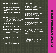# }}}}}}} *daily ne wspa per s CIRC. over 65K+*

# Sports Feature Story

**1ST PLACE:** Jason Quick, The Oregonian *Snoozing*  $\hat{a} \in \mathscr{C}$  *to stop losing* 

**2ND PLACE:** Mason Kelley, The Seattle Times *Long Road Home*

**3RD PLACE:** Rob Moseley, The Register-Guard *Unbreakable Bond*

### Comprehensive Coverage

**1st PLACE:** Dominic Gates, Mike Siegel, Rami Grunbaum , The Seattle Times *First flight of the Dreamliner* 

**2ND PLACE:** Staff, The Seattle Times *Ambush slaying of Seattle police officer*

**3rd PLACE:** Lewis Kamb, Reporter, Rita Hibbard, Editor, Hearst Investigations Team, Seattle Post-Intelligencer: *Chain Saw Scouting*

### Sports Column

**1st PLACE:** John Canzano, The Oregonian **2ND PLACE:** John McGrath, The News Tribune **3RD PLACE:** Larry Stone, The Seattle Times

### Editorial and Commentary

**1st PLACE:** Jamie Tobias Neely, Jamie Tobias Neely **2ND PLACE:** Susan Nielsen, The Oregonian **3RD PLACE:** Ryan Blethen, The Seattle Times

### Column Writing

**1ST PLACE:** Danny Westneat, The Seattle Times **2ND PLACE:** Steve Duin, The Oregonian **3RD PLACE:** Kathleen Merryman, The News Tribune

### Page Design

**SPORTS**<br>
ST PLACE:<br>
Snoozing â€" to s<br>
2ND PLACE:<br>
Long Road Home<br>
3RD PLACE:<br>
Unbreakable Bon<br> **COMPRE**<br>
1ST PLACE:<br>
Grunbaum , T<br>
First flight of the<br>
2ND PLACE:<br>
Ambush slaying<br>
3RD PLACE:<br>
Hearst Investig<br>
CRORTS<br>
IST **EATURE STO**<br> **EATURE STO**<br>
son Quick, The Orego<br> *Josing*<br>
flason Kelley, The Sear<br> *L*ob Moseley, The Regi<br> *L*ob Moseley, The Regi<br> **IENSIVE COV**<br>
ominic Gates, Mike Si<br>
searthe Times<br> *Cauthe police officer*<br>
evis Kamb **Y**<br> **Example 18 and 20 and 20 and 20 and 20 and 20 and 20 and 20 and 20 and 20 and 20 and 20 and 20 and 20 and 20 and 20 and 20 and 20 and 20 and 20 and 20 and 20 and 20 and 20 and 20 and 20 and 20 and 20 and 20 and 20 an 1ST PLACE:** Rich Boudet, The Seattle Times **2ND PLACE:** Geoff Pinnock, The Spokesman-Review **3RD PLACE:** Staff, The News Tribune

### Headlines

**HEADLINES**<br> **HEADLINES**<br> **IST PLACE:** Jim M<br> **2ND PLACE:** Karly<br> **3RD PLACE:** Anny 1<br> **NEWS PHOT**<br> **IST PLACE:** Alan E<br> *Amanda Knox Guilty Or*<br> **2ND PLACE:** Alan I<br> **3RD PLACE:** Alan I<br> **3RD PLACE:** Beth 1<br>
Neighbors wat Nett, The Oregonian<br>
Nett, The Oregonian<br>
nus, The Oregonian<br>
rifenrath, The Oregonian<br>
rmer, The Seattle Time<br>
rmer, The Seattle Time<br>
rmer, The Seattle Time<br>
rmer, The News Tribu<br>
rmer, The Seattle Tim<br>
rmer, The Seattle **1st PLACE:** Jim McNett, The Oregonian **2ND PLACE:** Karly Imus, The Oregonian **3RD PLACE:** Amy Reifenrath, The Oregonian

### News Photography

**1ST PLACE:** Alan Berner, The Seattle Times *Amanda Knox Guilty On All Counts*

**2ND PLACE:** Alan Berner, The Seattle Times *Gov. Gregoire: We Will Remember Them Always*

**3RD PLACE:** Beth Nakamura, The Oregonian *Neighbors watch school burn*

# Feature Photography

**1ST PLACE:** Drew Perine, The News Tribune *Training Wheels*

**2ND PLACE:** Alan Berner, The Seattle Times *Adapting To The Situation*

**3RD PLACE:** Drew Perine, The News Tribune *Farewell, Mrs. Tromsness*

# Sports Photography

**1st PLACE:** Kevin Clark, The Register-Guard *Faceoff at the finish line*

**2ND PLACE:** Christopher Anderson, The Spokesman-Review *C27 Bat Shatter*

**3RD PLACE:** Alan Berner, The Seattle Times *Lost In Space*

### Photopage

**1st PLACE:** Alan Berner, The Seattle Times *The Gift of An Arm*

**2ND PLACE:** Erika Schultz, The Seattle Times *In Cuba, life is finding work and making do*

**3RD PLACE:** Ross William Hamilton, The Oregonian *The end of a long, valiant fight*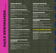**1ST PLACE:** Thomas Boyd, The Oregonian **2ND PLACE:** Jamie Francis, The Oregonian **3RD PLACE:** Drew Perine, The News Tribune

### Investigative Reporting

**PHOTO**<br>1ST PLAC<br>2ND PLAC<br>3RD PLAC<br>3RD PLAC<br>3RD PLAC<br>INVES'<br>1ST PLAC<br>The Seattle *Inside the colla*<br>2ND PLAC<br>*Commerce City stimulas*<br>5POT N<br>1ST PLAC<br>5layter de 2ND PLAC<br>3RD PLAC<br>1EV Drive-by shoo<br>3RD PLAC<br>2ND PLAC<br>1EV Dri **PORTFOLIO**<br>
Thomas Boyd, The O<br>
I: Jamie Francis, The O<br>
I: Drew Perine, The Ne<br>
I: Drew Perine, The Ne<br> **IGATIVE REP**<br>
Drew DeSilver, David<br>
imes<br>
e of Washington Mutual<br>
I: Justin Carinci, The I<br>
chage<br> **CWS REPORTI**<br>
S gonian<br>egonian<br>s Tribune<br>**RTING**<br>Feath, James Neff,<br>ily Journal of<br>**IG**<br>Seattle Times<br>e Seattle Times<br>e Miletich, The<br>eaming, Jody<br>leview<br>**EPORTING**<br>The Associated Press<br>Clarridge, Lynn<br>e Seattle Times<br>**ELITICS**<br>Aartin, Th **1ST PLACE:** Drew DeSilver, David Heath, James Neff, The Seattle Times *Inside the collapse of Washington Mutual* 

**2ND PLACE:** Justin Carinci, The Daily Journal of Commerce *City stimulus package*

### Spot News Reporting

**1ST PLACE:** Seattle Times staff. The Seattle Times *Suspect shot as city mourns slain officer*

**2ND PLACE:** Jennifer Sullivan, Steve Miletich, The Seattle Times *Drive-by shooting of Seattle officer*

**3RD PLACE:** Kevin Graman, Sara Leaming, Jody Lawrence-Turner, The Spokesman-Review *Field trip for escapee flies in face of ruling*

# Crime and Justice Reporting

**1st PLACE:** Nicholas K. Geranios, The Associated Press *Criminally insane live among us*

**2ND PLACE:** Bob Young, Christine Clarridge, Lynn Thompson, The Seattle Times *The Culture of Youth Violence*

**3RD PLACE:** Seattle Times staff, The Seattle Times *Slaying of Seattle police officer*

# Government and Politics **REPORTING**

**1st PLACE:** Jim Brunner, Jonathan Martin, The Seattle Times

*Joe Mallahan: Candidate built a reputation as T-Mobile's idea man*

**2ND PLACE:** Keith Ervin, Steve Miletich, The Seattle Times *Forgery allegations follow candidate*

**3RD PLACE:** David Steves, The Register-Guard *An Aging Population*

### Education Reporting

**1ST PLACE:** Steve Miletich. The Seattle Times *Drama professor: provocative or bully?*

**2ND PLACE:** Linda Shaw , The Seattle Times *Make no mistake: Seattle schools chief is decisive, driven, direct*

mes<br>
n, direct<br>
s<br>
more and more<br>
Times<br>
interfaces<br>
Times<br>
ciated Press<br>
Times<br>
ic Northwest<br> **FIONS**<br>
ld<br>
ld<br>
s **3RD PLACE:** Nick Perry, The Seattle Times *Caught in the college arms race, students and parents pay more and more*

### Health Reporting

**1st PLACE:** Carol M. Ostrom, The Seattle Times *Northwest primary care medicine: Curing what ails us*

**2ND PLACE:** Mark Baker, The Register-Guard *Determined to heal*

# **EDUCATIO**<br>
1ST PLACE: Stev<br>
Drama professor: prov.<br>
2ND PLACE: Lin<br>
Make no mistake: Seat<br>
3RD PLACE: Nic<br>
Caught in the college as<br> **HEALTH RI**<br>
1ST PLACE: Car<br>
Northwest primary ca:<br>
2ND PLACE: Ma<br>
Determined to heal<br> **REPORTING**<br>
Miletich, The Seattle <sup>r</sup><br>
Miletich, The Seattle <sup>r</sup><br>
streamer bully?<br>
Shaw , The Seattle Tim<br>
srace, students and parents<br> **PORTING**<br>
M. Ostrom, The Seattl<br>
M. Ostrom, The Seattl<br>
ENT AND SCIE<br>
Doughton, The Environment and Science **REPORTING**

**1ST PLACE:** Sandi Doughton, The Seattle Times *Can Wolves Restore an Ecosystem?*

**2ND PLACE:** Nicholas K. Geranios, The Associated Press *Bootleg detergents on the rise in Spokane*

–––––––

**3RD PLACE:** Sandi Doughton, The Seattle Times *Darwin's fishes: The three-spine stickleback of the Pacific Northwest*

# **ALL CIRCULATIONS TOGETHER**

### Graphics and Illustrations

**1ST PLACE:** Andy Zeigert, The Bulletin *Our weather makes sense*

**2ND PLACE:** Judy Stanley, The Daily Herald *Judy Stanley Graphics*

**3RD PLACE:** Sandy Salas, The Times-News *"Ready, aim, hunt"*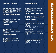### Lifestyles Reporting

**1st PLACE:** Luke Baumgarten, The Pacific Northwest Inlander *Child's Gambit*

**2ND PLACE:** Jonathan Kauffman, Seattle Weekly *And You Will Know Us by the Trail of German Butterballs*

**3RD PLACE:** Assunta Ng, Northwest Asian Weekly *Dim sum made easy: From seasoned veterans to first-timers, there's a restaurant in Seattle for everyone*

### Personalities Reporting

**1ST PLACE:** Luke Baumgarten, The Pacific Northwest Inlander *Practical Jokes*

**2ND PLACE:** Casey Jarman, Willamette Week *Battlestar Illmaculate*

**3RD PLACE:** Mike Seely, Seattle Weekly *The Leon Hendrix Experience*

# **CRITICISM**

**1ST PLACE:** Luke Baumgarten, The Pacific Northwest Inlander *Art History of Violence*

**2ND PLACE:** Suzi Steffen, Eugene Weekly *Red Hot Mess*

**3RD PLACE:** Molly Templeton, Eugene Weekly *Defining Her Future*

# Business Reporting

**1st PLACE:** Nina Shapiro, Seattle Weekly *Intelius and the Dubious Art of*  $â€\alpha$ *Post-Transaction Marketingâ€* 

**2ND PLACE:** Aaron Mesh, Willamette Week *Here's The Pitch*

**3RD PLACE:** Rick Anderson, Seattle Weekly *Post Post-Intelligencer*

# Sports Reporting

**1ST PLACE:** Jacob H. Fries, The Pacific Northwest Inlander *Wasteland*

**2ND PLACE:** Rafe Bartholomew, Seattle Weekly *Nate Robinson, Little King*

**3RD PLACE:** Damon Agnos, Seattle Weekly *Spoiling for a Fight*

### Editorial and Commentary

**1ST PLACE:** Stacy Nguyen, Northwest Asian Weekly **2ND PLACE:** Stacy Nguyen, Northwest Asian Weekly **3RD PLACE:** Mark Lee, Northwest Asian Weekly

# Special Section

**1st PLACE:** Ben Waterhouse, Willamette Week *Restaurant Guide*

**2ND PLACE:** Molly Templeton, Todd Cooper, Eugene Weekly *The State of Suds*

**3RD PLACE:** Suzi Steffen, Todd Cooper, Eugene Weekly *Oregon Bach Festival 2009 Guide*

# Page Design

**1ST PLACE:** Willamette Week Production Staff. Willamette Week

**2ND PLACE:** Chris Bovey, The Pacific Northwest Inlander

**3RD PLACE:** Chris Bovey, The Pacific Northwest Inlander

# Investigative Reporting

**1ST PLACE:** Laura Onstot, Seattle Weekly *Pipe Schemes* **2ND PLACE:** Rick Anderson, Seattle Weekly *Death's Door*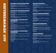### Graphics and Illustrations

**1st PLACE:** Hawk Krall, Willamette Week **2ND PLACE:** Chris Bovey, The Pacific Northwest Inlander

**3RD PLACE:** Stacy Nguyen, Northwest Asian Weekly

### Crime and Justice Reporting

**1st PLACE:** James Pitkin, Willamette Week *To Catch A Stoner*

**2ND PLACE:** Rick Anderson, Seattle Weekly *Smooth Jailing*

**3RD PLACE:** Matt Davis, The Portland Mercury *The Secrets Behind The Secret List*

### Government and Politics Reporting

**1st PLACE:** Kevin Taylor, The Pacific Northwest Inlander *A Delicate Proposition*

**2ND PLACE:** Alex Sakariassen, Missoula Independent *Questioning conservatism*

**3RD PLACE:** Nina Shapiro, Seattle Weekly *Judge Betty's Revenge*

### Environment and Science Reporting

**1st PLACE:** Erika Fredrickson, Missoula Independent *Alone on the Range*

**2ND PLACE:** Skylar Browning, R.C. Hooker, Missoula Independent *Dying to go Green*

**3RD PLACE:** Leah Sottile, The Pacific Northwest Inlander *Great White*

### Health Reporting

**1ST PLACE:** Nina Shapiro, Seattle Weekly *Terminal Uncertainty*

**2ND PLACE:** Nicholas Deshais, The Pacific Northwest Inlander *Misdiagnosed*

**3RD PLACE:** Matthew Frank, Missoula Independent *The War at Home*

### Social Issues Reporting

**1st PLACE:** Kevin Taylor, The Pacific Northwest Inlander *Saving Salish*

**2ND PLACE:** Vernal Coleman, Seattle Weekly *A Child Left Behind*

**3RD PLACE:** Beth Slovic, Willamette Week *Cheerless*

### Education Reporting

**1st PLACE:** Beth Slovic, Willamette Week *Left Out*

**2ND PLACE:** Camilla Mortensen, Eugene Weekly *Retaliation? Did the UO fire a professor for alleging racism?*

**3RD PLACE:** Daniel Walters, The Pacific Northwest Inlander *State of Debate*

### Arts Reporting

**1st PLACE:** Erika Fredrickson, Missoula Independent *Missoula's vibrant arts community could hold the key to an economic turnaround*

**2ND PLACE:** Michael Bowen, The Pacific Northwest Inlander *Put Your Finger on It*

**3RD PLACE:** Aaron Mesh, Willamette Week *Suspended Animation*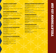### GENERAL EXCELLENCE

**1st PLACE:** KULR-8 News, KULR

**2ND PLACE:** Margo Papke, KEPR *KEPR Action News*

**3RD PLACE:** Heather Reese, Jackie Watanabe, KIMA *KIMA Action News*

# Spot News Reporting

**1st PLACE:** Melissa Wagner, Nick Campfield, KIMA *Ellensburg Flooding*

**2ND PLACE:** Ryan Simms, Nick Campfield, KIMA *Fire at the Mill*

# General News Reporting

**1st PLACE:** Sarah Gravlee, KULR *American Police Force*

**2ND PLACE:** Molly Kelleher, KEPR *Snow Removal Cuts*

**3RD PLACE:** Peter Bukowski, Nick Campfield, KIMA *Rockslide Victims*

### Feature News Reporting

**1st PLACE:** Allison Martin, KOHD *Life Interrupted*

**2ND PLACE:** David Klugh, KIMA *Police Explorers* **3RD PLACE:** Kyle Trompeter, KEPR

*Cancer Survivor Celebrates*

### Investigative Reporting

**EXERCISE AND AND AND AND AN ARTIST SERVICE INTERNATIONAL PROPERTIES**<br> **EXERCISE AND INTERNATIONAL PROPERTIES**<br> **EXERCISE AND ANOTHER CONSULTAINMENT AND ANOTHER CONSULTAINMENT AND ARTIST AND ARTIST AND ARTIST AND ARTIST AN 1ST PLACE:** Jonathan Athens, Justin Boyes, Brandon Hanson, KTVM *Password Scandal Part One and Part Two* **2ND PLACE:** Chelsea Kopta, KEPR *Digging Into Daycare Safety* **3RD PLACE:** Holly Zuluaga, KEPR

*Taco Truck Safety*

### Special Report/Documentary

**1st PLACE:** Bruce Reichert, Idaho Public Television *Outdoor Idaho: Wolves in Idaho*

**2ND PLACE:** Marcia Franklin, Jay Krajic, Idaho Public **Television** *Outdoor Idaho: Let Me Be Brave*

**3RD PLACE:** John Crancer, Chuck Cathcart, Jay Krajic, Idaho Public Television *Outdoor Idaho: Pathways of Pioneers*

# Sports Reporting

**1ST PLACE:** Dave Griffiths, KWYB *Sideline Reporting Coverage of Montana State vs. Northern Arizona Football on 10/10/09*

**2ND PLACE:** Jason Nitschke, KFBB/KHBB-TV *2009 Big Sky ProRodeo Roundup Live Preview Coverage*

**3RD PLACE:** Patrick Noland, Joe Gorchow, KNDU *Sports Finale*

# Photojournalism

**1ST PLACE: Paul S. Humphrey, KTVQ** *Team River Runner tackles Montana whitewater*

**2ND PLACE:** Dan Thesman, Reporter/Photographer, Blue Mountain Television *Sentimental Journey*

**3RD PLACE:** Katie Artist, KULR

*Montana's Singing Cowboy*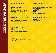### Spot News Reporting

**1st PLACE:** Abbey Gibb, Devon Haskins, KREM *Mental Patient Escapes*

**2ND PLACE:** KVAL Staff, KVAL *Stephanie Condon Remains Found*

### General News Reporting

**MOVEM EVALUATE AND THE CONTRACT SET AND THE CONTRACT SET AND THE CONTRACT SET AND THE CONTRACT SET AND THE CONTRACT SET AND THE CONTRACT SET AND THE CONTRACT SET AND THE CONTRACT SET AND THE CONTRACT SET AND THE CONTRACT 1st PLACE:** Linda Byron, Kellie Cheadle, Steve Douglas, KING *Bank Robberies* **2ND PLACE:** Mike Murad, KBCI *Cold Case*

**3RD PLACE:** Mike Murad, Clyn Richards, KBCI *Teen Crime, Adult Time*

### Feature News Reporting

**1st PLACE:** Nick Krupke, KVAL *Losing Baseball Team*

**2ND PLACE:** Chris Daniels - Reporter, Ron Sanford - Photojournalist/Editor, KING *Man in a Ditch*

**3RD PLACE:** Michelle Esteban, Jon Knorr, Dan Liberator, KOMO *Sail Power*

### Investigative Reporting

**1st PLACE:** Linda Byron, Kellie Cheadle, Steve Douglas, KING *Deception For Sale: Sono Bello*

**2ND PLACE:** Susannah Frame, Reporter, Steve Douglas, Photographer, Kellie Cheadle, Producer, KING *State of Injustice*

**3RD PLACE:** Jennifer Winters, Rob Woodward, KVAL *Ambulance Across Parking Lot*

### Sports Reporting

**1st PLACE:** KVAL Sports Staff, KVAL *Rose Bowl Bound*

**2ND PLACE:** Chris Daniels - Reporter, Gary Burckhardt - Photojournalist, KING *The World Police and Fire Games*

**3RD PLACE:** Nick Krupke, KVAL *Return of Distance*

### Photojournalism

**1st PLACE:** Roger Hatcher, KREM *Spokane 48 Hour Film Fest*

**2ND PLACE:** Brett Allbery, William Pitts, KREM *World Record Rubik's Cube*

**3RD PLACE:** Nick Krupke, KVAL *Special Olympic Golfers*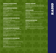**1st PLACE:** Staff, KPAM *KPAM News*

# Spot News Reporting

**1st PLACE:** Staff, KIRO *97.3 KIRO FM "Officers Murdered"*

EPOT NEWS REPORTING<br>
SPOT NEWS REPORTING<br>
1ST PLACE: Staff, KIRO<br>
1ST PLACE: Staff, KIRO<br>
1ST PLACE: Staff, KIRO<br>
2ND PLACE: Anna King, Northwest News Network<br>
KPAM<br>
1ST PLACE: Anna King, Northwest News Network<br>
2ND PLACE: **2ND PLACE:** Tim Hohl, Terry Travis, Mark Provost, KPAM *"School Fire then Office Shooting"*

**3RD PLACE:** Adam Cotterell, Boise State Radio *Manwill Search*

# General News Reporting

**1st PLACE:** Staff, KIRO *Continuing Coverage of Officers Murdered*

**2ND PLACE:** Adam Cotterell, Boise State Radio *Dairy Crisis Part 1 and 2*

Continuing Coverage of Officers Murdered<br> **SPORTS REPORTING**<br> **SPORTS REPORTING**<br> **SRD PLACE:** Adam Cotterell, Boise State Radio<br>
Tuck Punch<sup>2</sup><br> **SRD PLACE:** Staff, KPAM<br> **SRD PLACE:** Adam Cotterell, Boise State Radio<br>
Ore **3RD PLACE:** April Baer, reporter, Beth Hyams, editor, Oregon Public Broadcasting (radio) *Discovery of Opium Poppies Has Law Officers Concerned*

# Feature News Reporting

**1st PLACE:** Amanda Loder, Spokane Public Radio *Iraq doesn't hinder local woman's career plans*

**FEATURE NEWS REPORTING**<br> **ET PLACE:** Amanda Loder, Spokane Public Radio<br> *Court*<br> **EXPLACE:** Amanda Loder, Spokane Public Radio<br> **EXPLACE:** John Ryan, reporter, Jim Gates, editor,<br> **EXPLACE:** John Ryan, reporter, Jim Gate **2ND PLACE:** John Ryan, reporter, Jim Gates, editor, KUOW *Researchers Explore Link Between Skagit Bay and North Korea*

**3RD PLACE:** Heather Bosch, KIRO *Soldier Song*

### Investigative Reporting

**SRD PLACE:** Heather Bosch, KIRO<br>
Soldier Song<br> **INVESTIGATIVE REPORTING**<br> **IST PLACE:** Mark Provost, KPAM<br>
"Siolen Innocence"<br> **2ND PLACE:** Austin Jenkins, Chris Lehman, Northwest<br>
News Network **1st PLACE:** Mark Provost, KPAM *"Stolen Innocence"*

**2ND PLACE:** Austin Jenkins, Chris Lehman, Northwest<br>News Network<br>Data Center Debate: Despite High Costs, I.T. Facilities Get Little<br>Scrutiny<br>**3RD PLACE:** Samantha Wright, Boise State Radio<br>Debt Collectors Are People Too P **2ND PLACE:** Austin Jenkins, Chris Lehman, Northwest News Network *Data Center Debate: Despite High Costs, I.T. Facilities Get Little Scrutiny*

**3RD PLACE:** Samantha Wright, Boise State Radio *Debt Collectors Are People Too Part 1 and 2*

# Special Report

ONVEALE REVEL ARE ON<br>
SPECIAL REPORTER<br>
SPECIAL REPORTER<br>
SPECIAL REPORTER<br>
SPECIAL REVEL SERVICE<br>
SPECIAL REVEL SERVICE<br>
SPECIAL REVEL SERVICE SERVICE SERVICE SERVICE SERVICE SERVICE SERVICE SERVICE SERVICE SERVICE SERVIC **1ST PLACE:** Christy George, producer, Steven Kray, Sound Engineer, Morgan Holm, editor, Oregon Public Broadcasting (radio) *The Denmark Project*

# News Series

**1st PLACE:** Anna King, Northwest News Network *Hidden Religions*

Exchol Fire then Office Shooting"<br> **EXECUTE:** Adam Cotterell, Boise State Radio<br>
Manwill Search<br>
Manwill Search<br> **GENERAL NEWS REPORTING**<br> **SERIGE:** State Radio<br> **SERIGE:** State Radio<br> **SERIGE:** State Radio<br> **SPORTS REPORT 2ND PLACE:** Jennifer Wing, Liam Moriarty, Keith Seinfeld, KPLU *A No-Newspaper Town?*

**3RD PLACE:** Sadie Babits, Northwest News Network *Starting Over: Refugees Stuggle In Down Economy*

# Sports Reporting

zzzzzzz

**1st PLACE:** Staff, KPAM *"Duck Punch"* **2ND PLACE:** Adam Cotterell, Boise State Radio *Iron Dad*

**3RD PLACE:** Doug Nadvornick, Northwest News Network *Community College Basketball Players Find Lessons On And Off Court*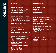#### Spot News

**1st PLACE:** staff, SeattlePI.com *spot news seattlepi.com*

**2ND PLACE:** KTUU.com staff, KTUU *Redoubt erupts after months of anticipation*

**3RD PLACE:** Andrew Hinkelman, Lori Tipton, KTUU *Palin announcement an early start to weekend fireworks*

### Innovation Award

**1st PLACE:** Staff, Independent Record *Continuum of Care*

**2ND PLACE:** Gabriel Campanario, The Seattle Times *Seattle Sketcher*

JU<br>
JU<br>
Lori Tipton, KTUU<br> *Ifreworks*<br>
ord<br>
The Seattle Times<br>
Box, Covington/<br>
ations | Everything you<br> **NEWS**<br>
propian<br>
ess<br> **ED SUBJECT**<br>
Sun<br>
Rick Penticoff,<br>
rision<br>
NITY<br>
Daily Tidings **3RD PLACE:** Paul Balcerak, Dennis Box, Covington/ Maple Valley Reporter *Black Diamond: Investigations, firings, resignations | Everything you need to know*

### Best Site- General News

••••••• **EWS**<br>
staff, SeattlePI.com<br>
pi.com<br>
2: KTUU.com staff, KT<br>
der months of anticipation<br>
2: Andrew Hinkelman<br>
ment an early start to weeke<br> **TION AWARD**<br>
5: Staff, Independent Rear<br>
2: Gabriel Campanario<br>
2: Paul Balcerak, **1ST PLACE:** The Olympian, The Olympian *Best Site - The Olympian* **2ND PLACE:** Staff, The Oregonian *OregonLive.com* **3RD PLACE:** Staff, The Seattle Times *Seattletimes.com* 

### Best Site- Specialized Subject

**1st PLACE:** Chris Dunagan, Kitsap Sun *Watching Our Water Ways (blog)*

**2ND PLACE:** Doug Ramsey, Doug Ramsey *Rifftides*

**3RD PLACE:** Joan Cartan-Hansen, Rick Penticoff, Stephanie Dickey, Idaho Public Television *D4K Website*

# Best Online Community Engagement

**1ST PLACE:** Mike Green, Ashland Daily Tidings *Connect Ashland*

**2ND PLACE:** Staff, SeattlePI.com *Seattlepi.com staff on Facebook & Twitter*

**3RD PLACE:** KVAL Staff, KVAL *KVAL Social Media*

### Best Web design

**1st PLACE:** Kitsap Sun staff, Kitsap Sun *Kitsapsun.com*

**2ND PLACE:** KVAL Web Staff, KVAL *KVAL.com*

**3RD PLACE:** Staff, KING5.com *KING5.com*

### Best New Site

**1st PLACE:** Betsy Hammond, Bill Graves, Wendy Owen, The Oregonian *Chalk It Up: The Oregonian's new local education site*

**2ND PLACE:** Cody Thompson, Casey Grove, KTUU *GoToAK.com*

Wendy<br>•e, KTUU<br>hwest Asian<br>•ill Seattle<br>•ke, Kate<br>•weekly **3RD PLACE:** Han Bui, Stacy Nguyen, Northwest Asian Weekly *Northwest Asian Weekly's Web site*

### Best Site- Specialized Geography

**BEST WEB**<br> **ET PLACE:** Kits<br> *Kitsapsun.com*<br> **2ND PLACE:** KV<br> *KVAL.com*<br> **3RD PLACE:** Sta<br> *KING5.com*<br> **BEST NEW**<br> **ST PLACE:** Bets<br>
Owen, The Oregon<br> *Chalk It Up:* The Oregon<br> **2ND PLACE:** Coc<br> *GoTbAK.com*<br> **3RD PLA** ••••••• **1st PLACE:** Justin Carder, CHS Capitol Hill Seattle Blog *CHS Capitol Hill Seattle*

**2ND PLACE:** Doree Armstrong, Dale Steinke, Kate Bergman, Next Door Media *PhinneyWood.com*

**3RD PLACE:** KVAL Web Staff, KVAL *KVAL Communities*

### Best Parent Site

**1st PLACE:** Staff, SeattlePI.com *Seattlepi.com*

**2ND PLACE:** Chris Kornelis, Staff, Seattle Weekly *SeattleWeekly.com*

**3RD PLACE:** Staff, The Spokesman-Review *The Spokesman-Review*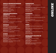### Special Report/Enterprise

**1ST PLACE:** Staff, The Seattle Times *Local foreclosures soar threefold in two years*

**2ND PLACE:** Lewis Kamb, Gilbert Arias, Daniel Lathrop, Lewis Kamb *SeattlePI.com: Chain Saw Scouting*

**3RD PLACE:** Staff, Kitsap Sun *Remembering Pearl Harbor*

### Arts/Entertainment/ Lie BSTVLE

**1st PLACE:** Travis Hay, Ear Candy *Pearl Jam at KeyArena*

**2ND PLACE:** Rachel Beck, Andy Cripe, Corvallis Gazette-Times *From farm to market*

**3RD PLACE:** Travis Hay, Crosscut.com Public Media *Discovering Nirvana's Lost Treasures*

### **BUSINESS**

**1st PLACE:** Knute Berger, Knute Berger *Crosscut: Seven Steps for Saving Pioneer Square*

**2ND PLACE:** Melinda Fulmer, MSN Real Estate *Is your suburb the next slum?* 

**3RD PLACE:** Marilyn Lewis, MSN Real Estate *5 ways homebuyers are kept in the dark*

# **SPORTS**

**SPECIAI**<br>
1ST PLACE:<br>
Local foreclosures<br>
2ND PLACE:<br>
Lathrop, Lewi<br>
SeattlePLcom: Cl<br>
3RD PLACE:<br>
Remembering Pe<br> **ARTS/EN**<br>
LIFESTY<br>
1ST PLACE:<br>
Pearl Jam at Key<br>
2ND PLACE:<br>
Discovering Nirv<br> **BUSINES**<br>
1ST PLACE:<br>
Lis **REPORT/ENTI**<br>aff, The Seattle Times<br>*oar threefold in two years*<br>ewis Kamb, Gilbert A<br>Kamb<br>*in Saw Scouting*<br>taff, Kitsap Sun<br>*Harbor*<br>and Harbor<br>*Harbor*<br>and Harbor<br>and Harbor<br>and Harbor<br>*era*<br>as Lack Andy Crip<br>*stor Tre* RPRISE<br>as, Daniel<br>pas, Daniel<br>pas, Corvallis<br>Public Media<br>per<br>er eal Estate<br>lestate<br>lestate<br>pius, Travis<br>pius, Travis<br>pius, Travis<br>pius, Travis **1st PLACE:** Larry Cathey, Kevin Launius, Travis Moore, Grants Pass Daily Courier *Reviving roller derby*

**2ND PLACE:** Staff, The Spokesman-Review *John Stockton, hall of famer*

**3RD PLACE:** Glenn Nelson, Chris Hansen, Staff, HoopGurlz.com, HoopGurlz,

# **COMMENTARY**

 **1st PLACE:** Judy Lightfoot, Crosscut.com: *Gerald keeps his job*

**2ND PLACE:** Peter Jackson, Crosscut.com Public Media *Drawing the Line on Everett Landmarks*

**3RD PLACE:** Terrence Nowicki, Jr., http:// thisishistorictimes.com/ *This is Historic Times*

# Slideshow

**COMMENTAI**<br>
1ST PLACE: Judy 1<br>
derald keeps his job<br>
2ND PLACE: Peter .<br>
Drawing the Line on Ever<br>
3RD PLACE: Peter .<br>
This is Historic Times<br> **SLIDESHOW**<br>
1ST PLACE: Paul R<br>
Natashas Story<br>
2ND PLACE: Danny<br>
2ND PLACE: D **F**<br>ghtfoot, Crosscut.com F<br>*t Landmarks*<br>e Nowicki, Jr., http://<br>1/<br>ter, Billings Gazette<br>Gawlowski, Photo departies<br>errice<br>gman, Fairbanks Daily<br>errice<br>dsch, The Register-Gulvany, Kevin Gramar<br>ulvany, Kevin Gramar<br>all Tr **1ST PLACE:** Paul Ruhter, Billings Gazette *Natasha's Story* **2ND PLACE:** Danny Gawlowski, Photo department, The Seattle Times *Lakewood police memorial service*

**3RD PLACE:** Eric Engman, Fairbanks Daily News-Miner *Yukon Quest*

# Video

**1st PLACE:** Chris Pietsch, The Register-Guard *Historic Civic*

**2ND PLACE:** Colin Mulvany, Kevin Graman, The Spokesman-Review *In the Realm of Fairies*

**3RD PLACE:** Colin Mulvany, Kevin Graman, The

Spokesman-Review *Beyond the Yellow Ribbon*

# Interactive graphic or resource

**1ST PLACE:** Staff, The News Tribune *SoundInfo Databases*

**2ND PLACE:** Staff, Mail Tribune *Rogue River Guide*

**3RD PLACE:** Judy Stanley, The Daily Herald *Killer Whales of the Pacific Northwest*